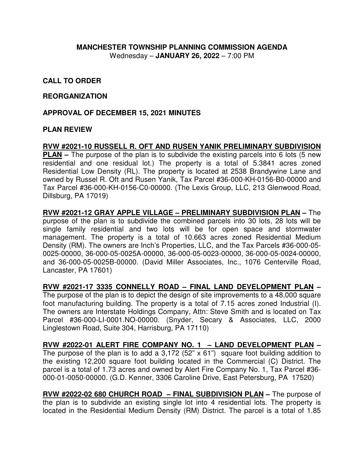## **MANCHESTER TOWNSHIP PLANNING COMMISSION AGENDA**  Wednesday – **JANUARY 26, 2022** – 7:00 PM

## **CALL TO ORDER**

#### **REORGANIZATION**

#### **APPROVAL OF DECEMBER 15, 2021 MINUTES**

#### **PLAN REVIEW**

## **RVW #2021-10 RUSSELL R. OFT AND RUSEN YANIK PRELIMINARY SUBDIVISION**

**PLAN** – The purpose of the plan is to subdivide the existing parcels into 6 lots (5 new residential and one residual lot.) The property is a total of 5.3841 acres zoned Residential Low Density (RL). The property is located at 2538 Brandywine Lane and owned by Russel R. Oft and Rusen Yanik, Tax Parcel #36-000-KH-0156-B0-00000 and Tax Parcel #36-000-KH-0156-C0-00000. (The Lexis Group, LLC, 213 Glenwood Road, Dillsburg, PA 17019)

**RVW #2021-12 GRAY APPLE VILLAGE – PRELIMINARY SUBDIVISION PLAN –** The purpose of the plan is to subdivide the combined parcels into 30 lots, 28 lots will be single family residential and two lots will be for open space and stormwater management. The property is a total of 10.663 acres zoned Residential Medium Density (RM). The owners are Inch's Properties, LLC, and the Tax Parcels #36-000-05- 0025-00000, 36-000-05-0025A-00000, 36-000-05-0023-00000, 36-000-05-0024-00000, and 36-000-05-0025B-00000. (David Miller Associates, Inc., 1076 Centerville Road, Lancaster, PA 17601)

**RVW #2021-17 3335 CONNELLY ROAD – FINAL LAND DEVELOPMENT PLAN –**  The purpose of the plan is to depict the design of site improvements to a 48,000 square foot manufacturing building. The property is a total of 7.15 acres zoned Industrial (I). The owners are Interstate Holdings Company, Attn: Steve Smith and is located on Tax Parcel #36-000-LI-0001.NO-00000. (Snyder, Secary & Associates, LLC, 2000 Linglestown Road, Suite 304, Harrisburg, PA 17110)

**RVW #2022-01 ALERT FIRE COMPANY NO. 1 – LAND DEVELOPMENT PLAN –**  The purpose of the plan is to add a  $3,172$  (52" x 61") square foot building addition to the existing 12,200 square foot building located in the Commercial (C) District. The parcel is a total of 1.73 acres and owned by Alert Fire Company No. 1, Tax Parcel #36- 000-01-0050-00000. (G.D. Kenner, 3306 Caroline Drive, East Petersburg, PA 17520)

**RVW #2022-02 680 CHURCH ROAD – FINAL SUBDIVISION PLAN –** The purpose of the plan is to subdivide an existing single lot into 4 residential lots. The property is located in the Residential Medium Density (RM) District. The parcel is a total of 1.85